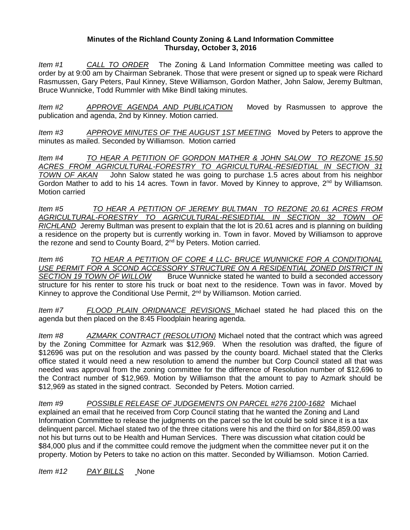## **Minutes of the Richland County Zoning & Land Information Committee Thursday, October 3, 2016**

*Item #1 CALL TO ORDER* The Zoning & Land Information Committee meeting was called to order by at 9:00 am by Chairman Sebranek. Those that were present or signed up to speak were Richard Rasmussen, Gary Peters, Paul Kinney, Steve Williamson, Gordon Mather, John Salow, Jeremy Bultman, Bruce Wunnicke, Todd Rummler with Mike Bindl taking minutes.

*Item #2 APPROVE AGENDA AND PUBLICATION* Moved by Rasmussen to approve the publication and agenda, 2nd by Kinney. Motion carried.

*Item #3 APPROVE MINUTES OF THE AUGUST 1ST MEETING* Moved by Peters to approve the minutes as mailed. Seconded by Williamson. Motion carried

*Item #4 TO HEAR A PETITION OF GORDON MATHER & JOHN SALOW TO REZONE 15.50 ACRES FROM AGRICULTURAL-FORESTRY TO AGRICULTURAL-RESIEDTIAL IN SECTION 31 TOWN OF AKAN* John Salow stated he was going to purchase 1.5 acres about from his neighbor Gordon Mather to add to his 14 acres. Town in favor. Moved by Kinney to approve,  $2<sup>nd</sup>$  by Williamson. Motion carried

*Item #5 TO HEAR A PETITION OF JEREMY BULTMAN TO REZONE 20.61 ACRES FROM AGRICULTURAL-FORESTRY TO AGRICULTURAL-RESIEDTIAL IN SECTION 32 TOWN OF RICHLAND* Jeremy Bultman was present to explain that the lot is 20.61 acres and is planning on building a residence on the property but is currently working in. Town in favor. Moved by Williamson to approve the rezone and send to County Board, 2<sup>nd</sup> by Peters. Motion carried.

*Item #6 TO HEAR A PETITION OF CORE 4 LLC- BRUCE WUNNICKE FOR A CONDITIONAL USE PERMIT FOR A SCOND ACCESSORY STRUCTURE ON A RESIDENTIAL ZONED DISTRICT IN* **Bruce Wunnicke stated he wanted to build a seconded accessory** structure for his renter to store his truck or boat next to the residence. Town was in favor. Moved by Kinney to approve the Conditional Use Permit, 2<sup>nd</sup> by Williamson. Motion carried.

*Item #7 FLOOD PLAIN ORIDNANCE REVISIONS* Michael stated he had placed this on the agenda but then placed on the 8:45 Floodplain hearing agenda.

*Item #8 AZMARK CONTRACT (RESOLUTION)* Michael noted that the contract which was agreed by the Zoning Committee for Azmark was \$12,969. When the resolution was drafted, the figure of \$12696 was put on the resolution and was passed by the county board. Michael stated that the Clerks office stated it would need a new resolution to amend the number but Corp Council stated all that was needed was approval from the zoning committee for the difference of Resolution number of \$12,696 to the Contract number of \$12,969. Motion by Williamson that the amount to pay to Azmark should be \$12,969 as stated in the signed contract. Seconded by Peters. Motion carried.

*Item #9 POSSIBLE RELEASE OF JUDGEMENTS ON PARCEL #276 2100-1682* Michael explained an email that he received from Corp Council stating that he wanted the Zoning and Land Information Committee to release the judgments on the parcel so the lot could be sold since it is a tax delinquent parcel. Michael stated two of the three citations were his and the third on for \$84,859.00 was not his but turns out to be Health and Human Services. There was discussion what citation could be \$84,000 plus and if the committee could remove the judgment when the committee never put it on the property. Motion by Peters to take no action on this matter. Seconded by Williamson. Motion Carried.

*Item #12 PAY BILLS* None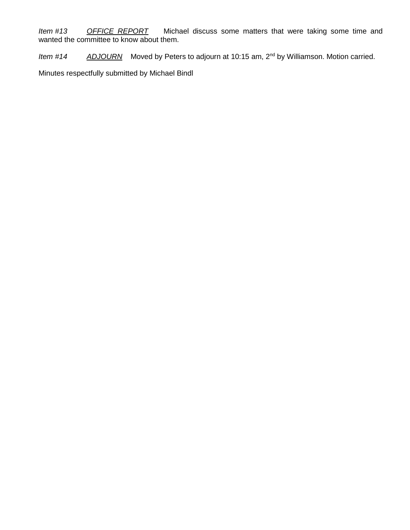*Item #13 OFFICE REPORT* Michael discuss some matters that were taking some time and wanted the committee to know about them.

*Item #14 ADJOURN* Moved by Peters to adjourn at 10:15 am, 2nd by Williamson. Motion carried.

Minutes respectfully submitted by Michael Bindl